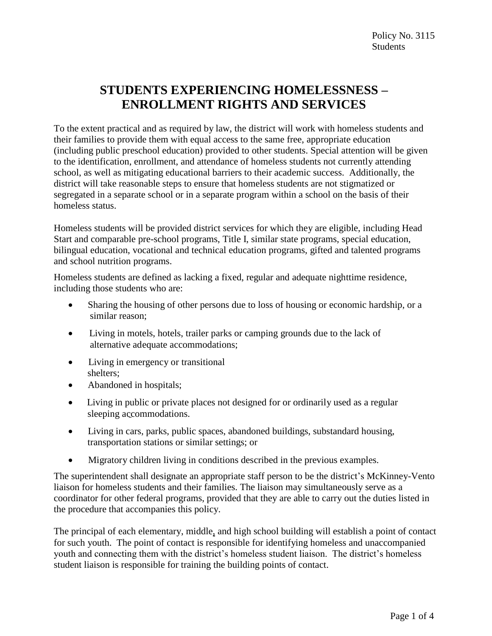## **STUDENTS EXPERIENCING HOMELESSNESS – ENROLLMENT RIGHTS AND SERVICES**

To the extent practical and as required by law, the district will work with homeless students and their families to provide them with equal access to the same free, appropriate education (including public preschool education) provided to other students. Special attention will be given to the identification, enrollment, and attendance of homeless students not currently attending school, as well as mitigating educational barriers to their academic success. Additionally, the district will take reasonable steps to ensure that homeless students are not stigmatized or segregated in a separate school or in a separate program within a school on the basis of their homeless status.

Homeless students will be provided district services for which they are eligible, including Head Start and comparable pre-school programs, Title I, similar state programs, special education, bilingual education, vocational and technical education programs, gifted and talented programs and school nutrition programs.

Homeless students are defined as lacking a fixed, regular and adequate nighttime residence, including those students who are:

- Sharing the housing of other persons due to loss of housing or economic hardship, or a similar reason;
- Living in motels, hotels, trailer parks or camping grounds due to the lack of alternative adequate accommodations;
- Living in emergency or transitional shelters;
- Abandoned in hospitals;
- Living in public or private places not designed for or ordinarily used as a regular sleeping accommodations.
- Living in cars, parks, public spaces, abandoned buildings, substandard housing, transportation stations or similar settings; or
- Migratory children living in conditions described in the previous examples.

The superintendent shall designate an appropriate staff person to be the district's McKinney-Vento liaison for homeless students and their families. The liaison may simultaneously serve as a coordinator for other federal programs, provided that they are able to carry out the duties listed in the procedure that accompanies this policy.

The principal of each elementary, middle, and high school building will establish a point of contact for such youth. The point of contact is responsible for identifying homeless and unaccompanied youth and connecting them with the district's homeless student liaison. The district's homeless student liaison is responsible for training the building points of contact.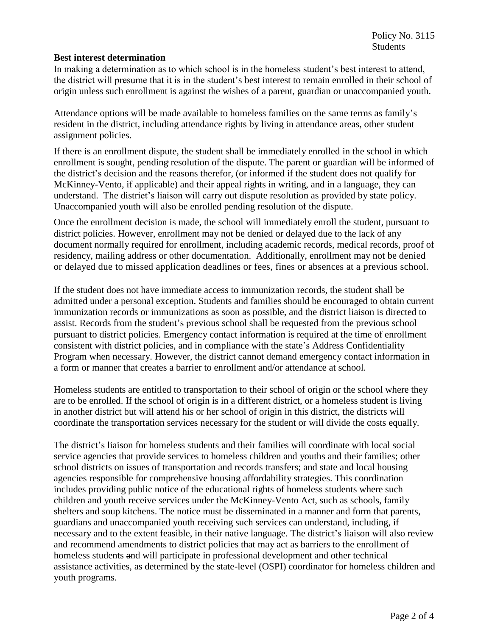## **Best interest determination**

In making a determination as to which school is in the homeless student's best interest to attend, the district will presume that it is in the student's best interest to remain enrolled in their school of origin unless such enrollment is against the wishes of a parent, guardian or unaccompanied youth*.*

Attendance options will be made available to homeless families on the same terms as family's resident in the district, including attendance rights by living in attendance areas, other student assignment policies.

If there is an enrollment dispute, the student shall be immediately enrolled in the school in which enrollment is sought, pending resolution of the dispute. The parent or guardian will be informed of the district's decision and the reasons therefor, (or informed if the student does not qualify for McKinney-Vento, if applicable) and their appeal rights in writing, and in a language, they can understand. The district's liaison will carry out dispute resolution as provided by state policy. Unaccompanied youth will also be enrolled pending resolution of the dispute.

Once the enrollment decision is made, the school will immediately enroll the student, pursuant to district policies. However, enrollment may not be denied or delayed due to the lack of any document normally required for enrollment, including academic records, medical records, proof of residency, mailing address or other documentation. Additionally, enrollment may not be denied or delayed due to missed application deadlines or fees, fines or absences at a previous school.

If the student does not have immediate access to immunization records, the student shall be admitted under a personal exception. Students and families should be encouraged to obtain current immunization records or immunizations as soon as possible, and the district liaison is directed to assist. Records from the student's previous school shall be requested from the previous school pursuant to district policies. Emergency contact information is required at the time of enrollment consistent with district policies, and in compliance with the state's Address Confidentiality Program when necessary. However, the district cannot demand emergency contact information in a form or manner that creates a barrier to enrollment and/or attendance at school.

Homeless students are entitled to transportation to their school of origin or the school where they are to be enrolled. If the school of origin is in a different district, or a homeless student is living in another district but will attend his or her school of origin in this district, the districts will coordinate the transportation services necessary for the student or will divide the costs equally.

The district's liaison for homeless students and their families will coordinate with local social service agencies that provide services to homeless children and youths and their families; other school districts on issues of transportation and records transfers; and state and local housing agencies responsible for comprehensive housing affordability strategies. This coordination includes providing public notice of the educational rights of homeless students where such children and youth receive services under the McKinney-Vento Act, such as schools, family shelters and soup kitchens. The notice must be disseminated in a manner and form that parents, guardians and unaccompanied youth receiving such services can understand, including, if necessary and to the extent feasible, in their native language. The district's liaison will also review and recommend amendments to district policies that may act as barriers to the enrollment of homeless students and will participate in professional development and other technical assistance activities, as determined by the state-level (OSPI) coordinator for homeless children and youth programs.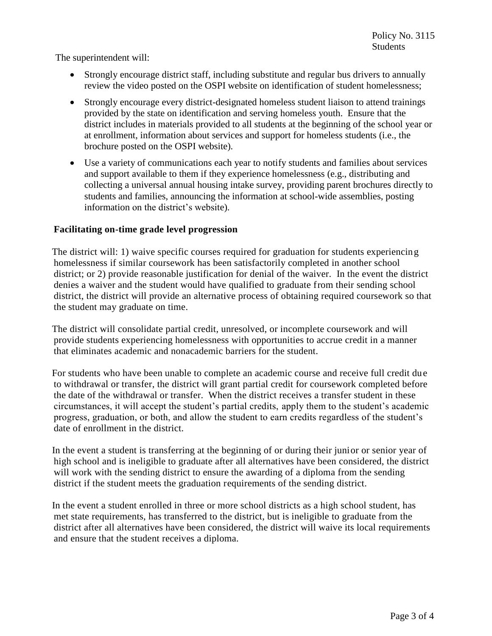The superintendent will:

- Strongly encourage district staff, including substitute and regular bus drivers to annually review the video posted on the OSPI website on identification of student homelessness;
- Strongly encourage every district-designated homeless student liaison to attend trainings provided by the state on identification and serving homeless youth. Ensure that the district includes in materials provided to all students at the beginning of the school year or at enrollment, information about services and support for homeless students (i.e., the brochure posted on the OSPI website).
- Use a variety of communications each year to notify students and families about services and support available to them if they experience homelessness (e.g., distributing and collecting a universal annual housing intake survey, providing parent brochures directly to students and families, announcing the information at school-wide assemblies, posting information on the district's website).

## **Facilitating on-time grade level progression**

 The district will: 1) waive specific courses required for graduation for students experiencing homelessness if similar coursework has been satisfactorily completed in another school district; or 2) provide reasonable justification for denial of the waiver. In the event the district denies a waiver and the student would have qualified to graduate from their sending school district, the district will provide an alternative process of obtaining required coursework so that the student may graduate on time.

 The district will consolidate partial credit, unresolved, or incomplete coursework and will provide students experiencing homelessness with opportunities to accrue credit in a manner that eliminates academic and nonacademic barriers for the student.

 For students who have been unable to complete an academic course and receive full credit due to withdrawal or transfer, the district will grant partial credit for coursework completed before the date of the withdrawal or transfer. When the district receives a transfer student in these circumstances, it will accept the student's partial credits, apply them to the student's academic progress, graduation, or both, and allow the student to earn credits regardless of the student's date of enrollment in the district.

 In the event a student is transferring at the beginning of or during their junior or senior year of high school and is ineligible to graduate after all alternatives have been considered, the district will work with the sending district to ensure the awarding of a diploma from the sending district if the student meets the graduation requirements of the sending district.

 In the event a student enrolled in three or more school districts as a high school student, has met state requirements, has transferred to the district, but is ineligible to graduate from the district after all alternatives have been considered, the district will waive its local requirements and ensure that the student receives a diploma.